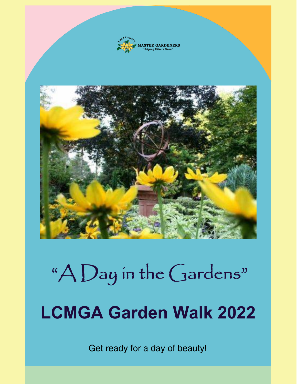

# "A Day in the Gardens" **LCMGA Garden Walk 2022**

Get ready for a day of beauty!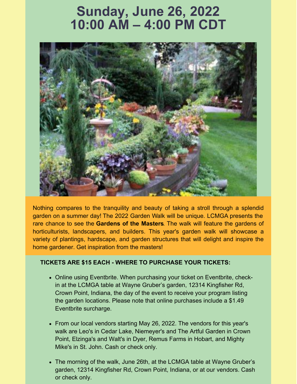# **Sunday, June 26, 2022 10:00 AM – 4:00 PM CDT**



Nothing compares to the tranquility and beauty of taking a stroll through a splendid garden on a summer day! The 2022 Garden Walk will be unique. LCMGA presents the rare chance to see the **Gardens of the Masters**. The walk will feature the gardens of horticulturists, landscapers, and builders. This year's garden walk will showcase a variety of plantings, hardscape, and garden structures that will delight and inspire the home gardener. Get inspiration from the masters!

#### **TICKETS ARE \$15 EACH - WHERE TO PURCHASE YOUR TICKETS:**

- Online using Eventbrite. When purchasing your ticket on Eventbrite, checkin at the LCMGA table at Wayne Gruber's garden, 12314 Kingfisher Rd, Crown Point, Indiana, the day of the event to receive your program listing the garden locations. Please note that online purchases include a \$1.49 Eventbrite surcharge.
- From our local vendors starting May 26, 2022. The vendors for this year's walk are Leo's in Cedar Lake, Niemeyer's and The Artful Garden in Crown Point, Elzinga's and Walt's in Dyer, Remus Farms in Hobart, and Mighty Mike's in St. John. Cash or check only.
- The morning of the walk, June 26th, at the LCMGA table at Wayne Gruber's garden, 12314 Kingfisher Rd, Crown Point, Indiana, or at our vendors. Cash or check only.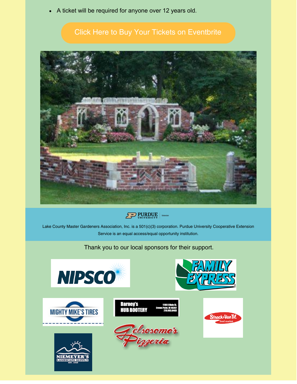A ticket will be required for anyone over 12 years old.

## Click Here to Buy Your Tickets on [Eventbrite](https://www.eventbrite.com/e/a-day-in-the-gardens-lcmga-garden-walk-2022-tickets-308426962347?aff=ebdssbdestsearch)



## $\sqrt{2}$  PURDUE

Lake County Master Gardeners Association, Inc. is a 501(c)(3) corporation. Purdue University Cooperative Extension Service is an equal access/equal opportunity institution.

#### Thank you to our local sponsors for their support.